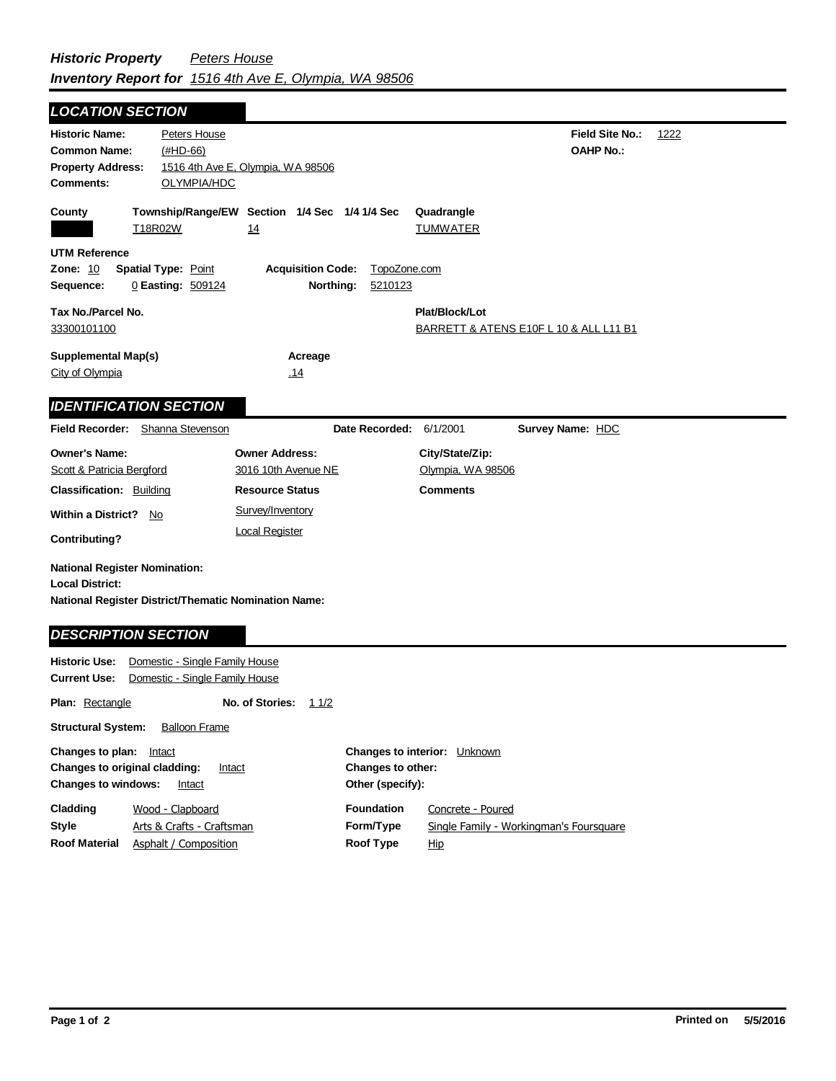## **Field Site No.:** 1222 **OAHP No.: Historic Name:** Peters House **Common Name:** (#HD-66) **County Plat/Block/Lot** BARRETT & ATENS E10F L 10 & ALL L11 B1 **Acreage** .14 **Supplemental Map(s)** City of Olympia **Tax No./Parcel No.** 33300101100 **Property Address:** 1516 4th Ave E, Olympia, WA 98506 *LOCATION SECTION* **Comments:** OLYMPIA/HDC **Quadrangle UTM Reference Township/Range/EW Section 1/4 Sec 1/4 1/4 Sec Owner Address:** 3016 10th Avenue NE **Field Recorder:** Shanna Stevenson **Owner's Name:** Scott & Patricia Bergford **City/State/Zip:** Olympia, WA 98506 **National Register District/Thematic Nomination Name: Local District: Date Recorded:** 6/1/2001 **Classification:** Building **Within a District?** No **Contributing? Comments National Register Nomination: Plan:** Rectangle **Historic Use:** Domestic - Single Family House **Current Use:** Domestic - Single Family House **Structural System:** Balloon Frame **No. of Stories:** 11/2 **Resource Status Survey Name:** HDC *IDENTIFICATION SECTION DESCRIPTION SECTION* T18R02W 14 14 TUMWATER **Zone:** 10 **Spatial Type:** Point **Acquisition Code:** TopoZone.com **Sequence:** 0 **Easting:** 509124 **Northing:** 5210123 Survey/Inventory Local Register

| <b>Changes to interior:</b> Unknown                  |  |
|------------------------------------------------------|--|
| <b>Changes to other:</b>                             |  |
| Other (specify):                                     |  |
| <b>Foundation</b><br>Concrete - Poured               |  |
| Form/Type<br>Single Family - Workingman's Foursquare |  |
| Roof Type<br><u>Hip</u>                              |  |
|                                                      |  |